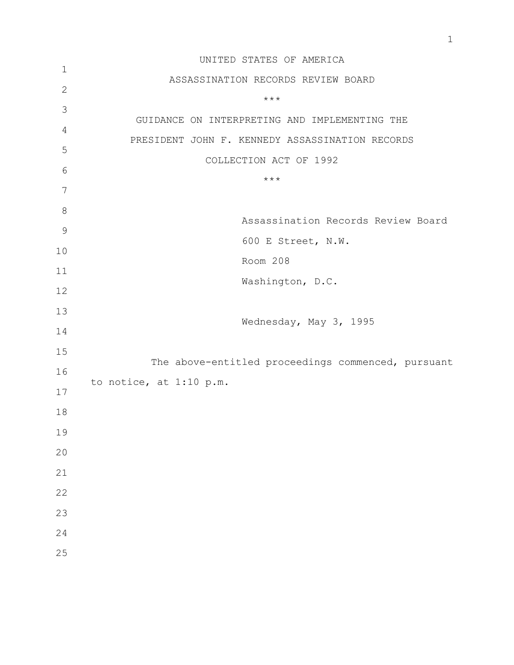|                | UNITED STATES OF AMERICA                           |
|----------------|----------------------------------------------------|
| $\mathbf{1}$   | ASSASSINATION RECORDS REVIEW BOARD                 |
| $\mathbf{2}$   | $***$                                              |
| 3              | GUIDANCE ON INTERPRETING AND IMPLEMENTING THE      |
| $\overline{4}$ |                                                    |
| 5              | PRESIDENT JOHN F. KENNEDY ASSASSINATION RECORDS    |
| 6              | COLLECTION ACT OF 1992                             |
| 7              | $***$                                              |
| $8\,$          |                                                    |
| $\mathcal{G}$  | Assassination Records Review Board                 |
| 10             | 600 E Street, N.W.                                 |
| 11             | Room 208                                           |
|                | Washington, D.C.                                   |
| 12             |                                                    |
| 13             | Wednesday, May 3, 1995                             |
| 14             |                                                    |
| 15             | The above-entitled proceedings commenced, pursuant |
| 16             | to notice, at 1:10 p.m.                            |
| 17             |                                                    |
| 18             |                                                    |
| 19             |                                                    |
| 20             |                                                    |
| 21             |                                                    |
| 22             |                                                    |
| 23             |                                                    |
| 24             |                                                    |
| 25             |                                                    |
|                |                                                    |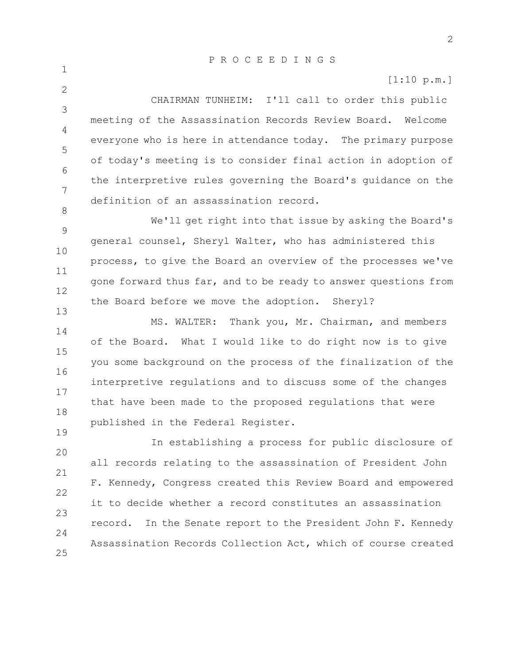1

 $\mathcal{P}$ 

8

19

[1:10 p.m.]

3 4 5 6 7 CHAIRMAN TUNHEIM: I'll call to order this public meeting of the Assassination Records Review Board. Welcome everyone who is here in attendance today. The primary purpose of today's meeting is to consider final action in adoption of the interpretive rules governing the Board's guidance on the definition of an assassination record.

9 10 11 12 13 We'll get right into that issue by asking the Board's general counsel, Sheryl Walter, who has administered this process, to give the Board an overview of the processes we've gone forward thus far, and to be ready to answer questions from the Board before we move the adoption. Sheryl?

14 15 16 17 18 MS. WALTER: Thank you, Mr. Chairman, and members of the Board. What I would like to do right now is to give you some background on the process of the finalization of the interpretive regulations and to discuss some of the changes that have been made to the proposed regulations that were published in the Federal Register.

20 21 22 23  $24$ 25 In establishing a process for public disclosure of all records relating to the assassination of President John F. Kennedy, Congress created this Review Board and empowered it to decide whether a record constitutes an assassination record. In the Senate report to the President John F. Kennedy Assassination Records Collection Act, which of course created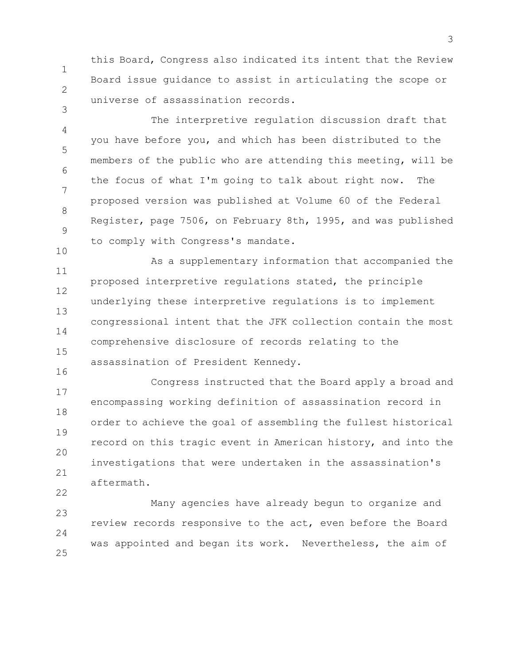1 2 this Board, Congress also indicated its intent that the Review Board issue guidance to assist in articulating the scope or universe of assassination records.

3

22

4 5 6 7 8 9 10 The interpretive regulation discussion draft that you have before you, and which has been distributed to the members of the public who are attending this meeting, will be the focus of what I'm going to talk about right now. The proposed version was published at Volume 60 of the Federal Register, page 7506, on February 8th, 1995, and was published to comply with Congress's mandate.

11 12 13 14 15 16 As a supplementary information that accompanied the proposed interpretive regulations stated, the principle underlying these interpretive regulations is to implement congressional intent that the JFK collection contain the most comprehensive disclosure of records relating to the assassination of President Kennedy.

17 18 19 20 21 Congress instructed that the Board apply a broad and encompassing working definition of assassination record in order to achieve the goal of assembling the fullest historical record on this tragic event in American history, and into the investigations that were undertaken in the assassination's aftermath.

23  $24$ 25 Many agencies have already begun to organize and review records responsive to the act, even before the Board was appointed and began its work. Nevertheless, the aim of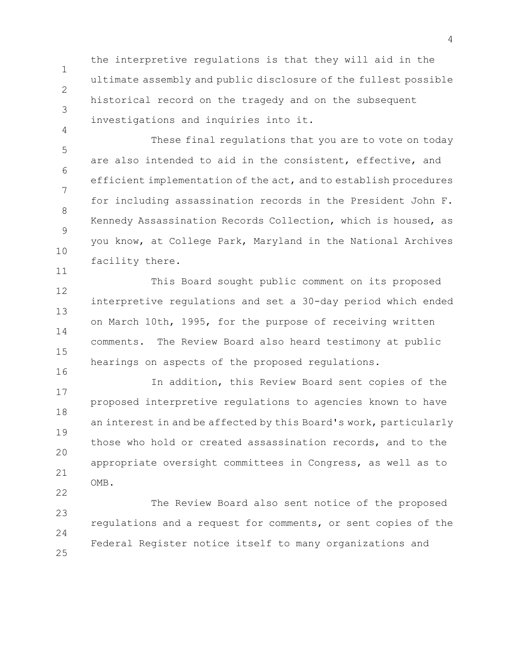2 the interpretive regulations is that they will aid in the ultimate assembly and public disclosure of the fullest possible historical record on the tragedy and on the subsequent investigations and inquiries into it.

1

3

4

22

5 6 7 8 9 10 11 These final regulations that you are to vote on today are also intended to aid in the consistent, effective, and efficient implementation of the act, and to establish procedures for including assassination records in the President John F. Kennedy Assassination Records Collection, which is housed, as you know, at College Park, Maryland in the National Archives facility there.

12 13 14 15 16 This Board sought public comment on its proposed interpretive regulations and set a 30-day period which ended on March 10th, 1995, for the purpose of receiving written comments. The Review Board also heard testimony at public hearings on aspects of the proposed regulations.

17 18 19 20 21 In addition, this Review Board sent copies of the proposed interpretive regulations to agencies known to have an interest in and be affected by this Board's work, particularly those who hold or created assassination records, and to the appropriate oversight committees in Congress, as well as to OMB.

23  $24$ 25 The Review Board also sent notice of the proposed regulations and a request for comments, or sent copies of the Federal Register notice itself to many organizations and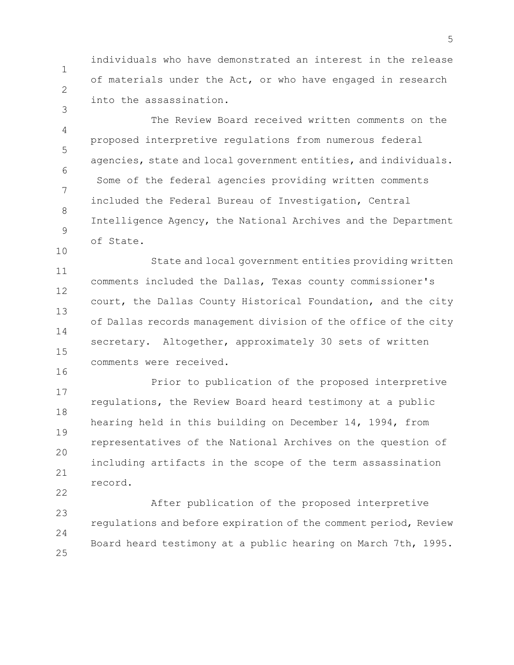individuals who have demonstrated an interest in the release of materials under the Act, or who have engaged in research into the assassination.

1

2

3

16

4 5 6 7 8 9 10 The Review Board received written comments on the proposed interpretive regulations from numerous federal agencies, state and local government entities, and individuals. Some of the federal agencies providing written comments included the Federal Bureau of Investigation, Central Intelligence Agency, the National Archives and the Department of State.

11 12 13 14 15 State and local government entities providing written comments included the Dallas, Texas county commissioner's court, the Dallas County Historical Foundation, and the city of Dallas records management division of the office of the city secretary. Altogether, approximately 30 sets of written comments were received.

17 18 19 20 21 22 Prior to publication of the proposed interpretive regulations, the Review Board heard testimony at a public hearing held in this building on December 14, 1994, from representatives of the National Archives on the question of including artifacts in the scope of the term assassination record.

23  $24$ 25 After publication of the proposed interpretive regulations and before expiration of the comment period, Review Board heard testimony at a public hearing on March 7th, 1995.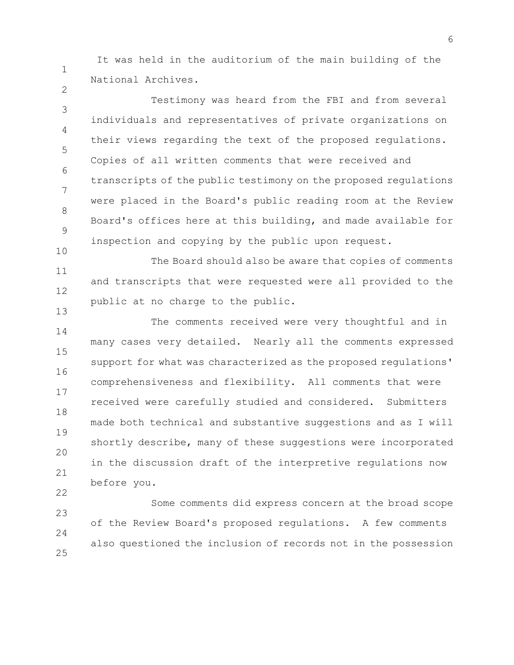It was held in the auditorium of the main building of the National Archives.

1

2

10

22

3 4 5 6 7 8 9 Testimony was heard from the FBI and from several individuals and representatives of private organizations on their views regarding the text of the proposed regulations. Copies of all written comments that were received and transcripts of the public testimony on the proposed regulations were placed in the Board's public reading room at the Review Board's offices here at this building, and made available for inspection and copying by the public upon request.

11 12 13 The Board should also be aware that copies of comments and transcripts that were requested were all provided to the public at no charge to the public.

14 15 16 17 18 19 20 21 The comments received were very thoughtful and in many cases very detailed. Nearly all the comments expressed support for what was characterized as the proposed regulations' comprehensiveness and flexibility. All comments that were received were carefully studied and considered. Submitters made both technical and substantive suggestions and as I will shortly describe, many of these suggestions were incorporated in the discussion draft of the interpretive regulations now before you.

23  $24$ 25 Some comments did express concern at the broad scope of the Review Board's proposed regulations. A few comments also questioned the inclusion of records not in the possession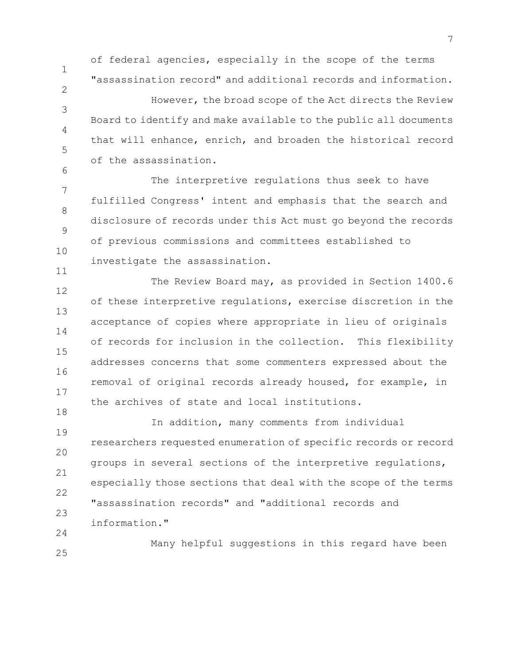1

2

3

4

5

6

of federal agencies, especially in the scope of the terms "assassination record" and additional records and information.

However, the broad scope of the Act directs the Review Board to identify and make available to the public all documents that will enhance, enrich, and broaden the historical record of the assassination.

7 8 9 10 11 The interpretive regulations thus seek to have fulfilled Congress' intent and emphasis that the search and disclosure of records under this Act must go beyond the records of previous commissions and committees established to investigate the assassination.

12 13 14 15 16 17 18 The Review Board may, as provided in Section 1400.6 of these interpretive regulations, exercise discretion in the acceptance of copies where appropriate in lieu of originals of records for inclusion in the collection. This flexibility addresses concerns that some commenters expressed about the removal of original records already housed, for example, in the archives of state and local institutions.

19 20 21 22 23  $24$ In addition, many comments from individual researchers requested enumeration of specific records or record groups in several sections of the interpretive regulations, especially those sections that deal with the scope of the terms "assassination records" and "additional records and information."

25 Many helpful suggestions in this regard have been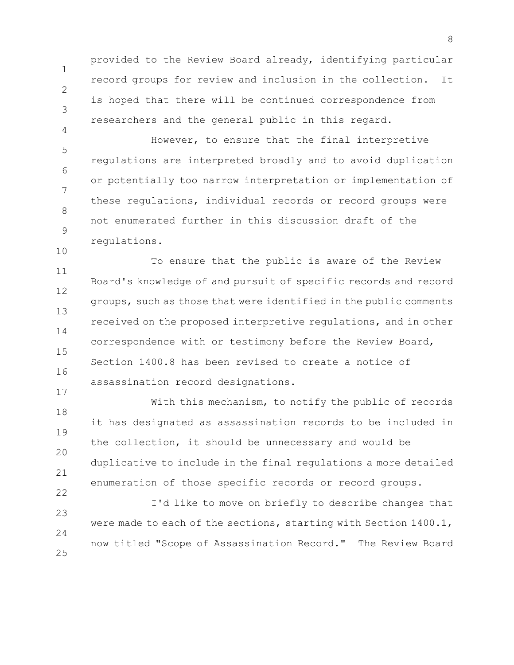1 2 3 provided to the Review Board already, identifying particular record groups for review and inclusion in the collection. It is hoped that there will be continued correspondence from researchers and the general public in this regard.

4

17

22

5 6 7 8 9 10 However, to ensure that the final interpretive regulations are interpreted broadly and to avoid duplication or potentially too narrow interpretation or implementation of these regulations, individual records or record groups were not enumerated further in this discussion draft of the regulations.

11 12 13 14 15 16 To ensure that the public is aware of the Review Board's knowledge of and pursuit of specific records and record groups, such as those that were identified in the public comments received on the proposed interpretive regulations, and in other correspondence with or testimony before the Review Board, Section 1400.8 has been revised to create a notice of assassination record designations.

18 19 20 21 With this mechanism, to notify the public of records it has designated as assassination records to be included in the collection, it should be unnecessary and would be duplicative to include in the final regulations a more detailed enumeration of those specific records or record groups.

23  $24$ 25 I'd like to move on briefly to describe changes that were made to each of the sections, starting with Section 1400.1, now titled "Scope of Assassination Record." The Review Board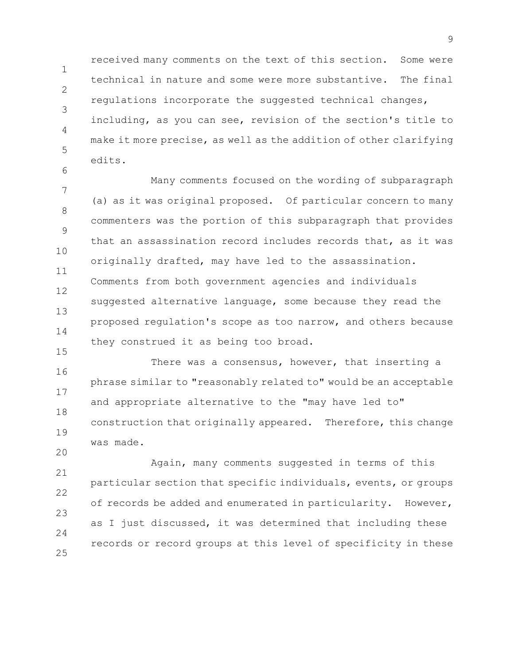1 2 3 4 5 received many comments on the text of this section. Some were technical in nature and some were more substantive. The final regulations incorporate the suggested technical changes, including, as you can see, revision of the section's title to make it more precise, as well as the addition of other clarifying edits.

6

15

20

7 8 9 10 11 12 13 14 Many comments focused on the wording of subparagraph (a) as it was original proposed. Of particular concern to many commenters was the portion of this subparagraph that provides that an assassination record includes records that, as it was originally drafted, may have led to the assassination. Comments from both government agencies and individuals suggested alternative language, some because they read the proposed regulation's scope as too narrow, and others because they construed it as being too broad.

16 17 18 19 There was a consensus, however, that inserting a phrase similar to "reasonably related to" would be an acceptable and appropriate alternative to the "may have led to" construction that originally appeared. Therefore, this change was made.

21 22 23  $24$ 25 Again, many comments suggested in terms of this particular section that specific individuals, events, or groups of records be added and enumerated in particularity. However, as I just discussed, it was determined that including these records or record groups at this level of specificity in these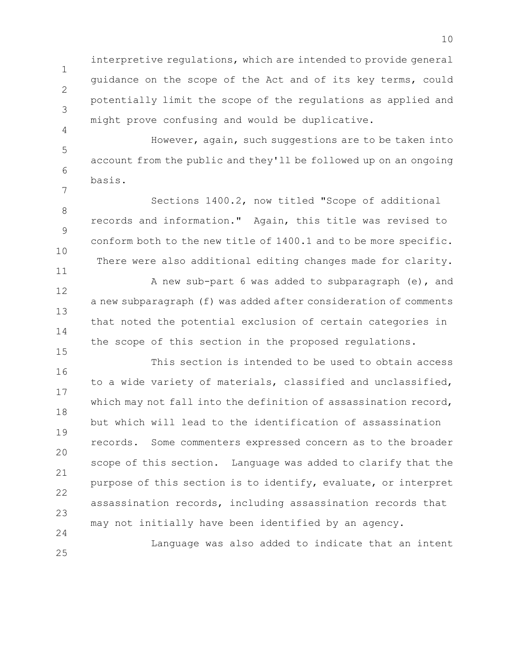interpretive regulations, which are intended to provide general guidance on the scope of the Act and of its key terms, could potentially limit the scope of the regulations as applied and might prove confusing and would be duplicative.

1

2

3

4

11

15

25

5 6 7 However, again, such suggestions are to be taken into account from the public and they'll be followed up on an ongoing basis.

8 9 10 Sections 1400.2, now titled "Scope of additional records and information." Again, this title was revised to conform both to the new title of 1400.1 and to be more specific. There were also additional editing changes made for clarity.

12 13 14 A new sub-part 6 was added to subparagraph (e), and a new subparagraph (f) was added after consideration of comments that noted the potential exclusion of certain categories in the scope of this section in the proposed regulations.

16 17 18 19 20 21 22 23 24 This section is intended to be used to obtain access to a wide variety of materials, classified and unclassified, which may not fall into the definition of assassination record, but which will lead to the identification of assassination records. Some commenters expressed concern as to the broader scope of this section. Language was added to clarify that the purpose of this section is to identify, evaluate, or interpret assassination records, including assassination records that may not initially have been identified by an agency.

Language was also added to indicate that an intent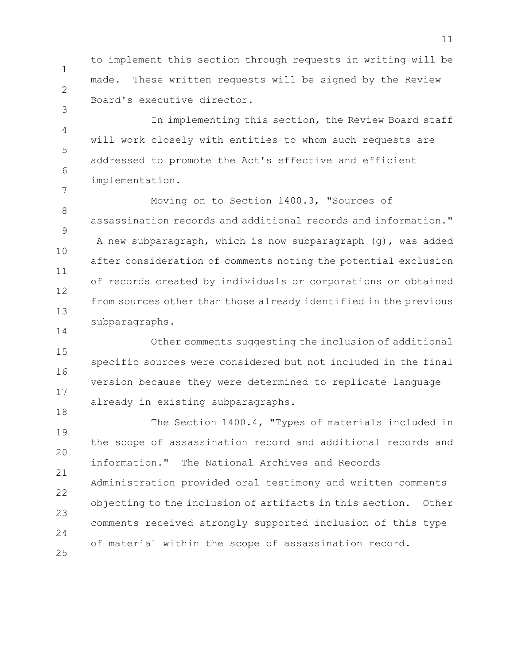1 2 to implement this section through requests in writing will be made. These written requests will be signed by the Review Board's executive director.

3

14

4 5 6 7 In implementing this section, the Review Board staff will work closely with entities to whom such requests are addressed to promote the Act's effective and efficient implementation.

8 9 10 11 12 13 Moving on to Section 1400.3, "Sources of assassination records and additional records and information." A new subparagraph, which is now subparagraph (g), was added after consideration of comments noting the potential exclusion of records created by individuals or corporations or obtained from sources other than those already identified in the previous subparagraphs.

15 16 17 18 Other comments suggesting the inclusion of additional specific sources were considered but not included in the final version because they were determined to replicate language already in existing subparagraphs.

19 20 21 22 23 24 25 The Section 1400.4, "Types of materials included in the scope of assassination record and additional records and information." The National Archives and Records Administration provided oral testimony and written comments objecting to the inclusion of artifacts in this section. Other comments received strongly supported inclusion of this type of material within the scope of assassination record.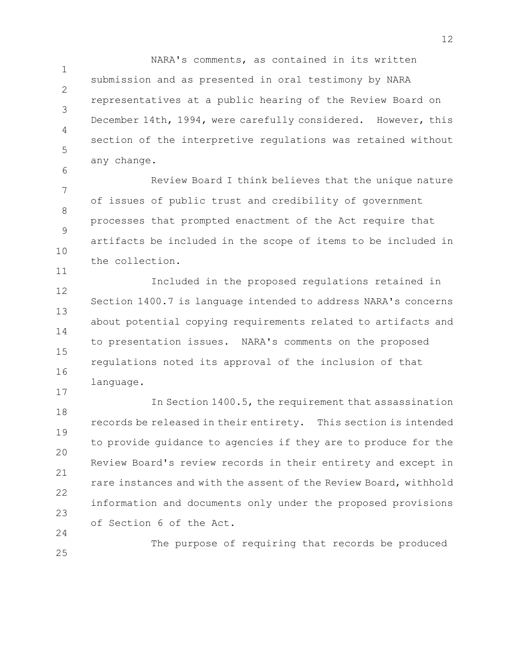1  $\mathcal{P}$ 3 4 5 NARA's comments, as contained in its written submission and as presented in oral testimony by NARA representatives at a public hearing of the Review Board on December 14th, 1994, were carefully considered. However, this section of the interpretive regulations was retained without any change.

7 8 9 10 Review Board I think believes that the unique nature of issues of public trust and credibility of government processes that prompted enactment of the Act require that artifacts be included in the scope of items to be included in the collection.

6

11

17

12 13 14 15 16 Included in the proposed regulations retained in Section 1400.7 is language intended to address NARA's concerns about potential copying requirements related to artifacts and to presentation issues. NARA's comments on the proposed regulations noted its approval of the inclusion of that language.

18 19 20 21 22 23  $24$ In Section 1400.5, the requirement that assassination records be released in their entirety. This section is intended to provide guidance to agencies if they are to produce for the Review Board's review records in their entirety and except in rare instances and with the assent of the Review Board, withhold information and documents only under the proposed provisions of Section 6 of the Act.

25 The purpose of requiring that records be produced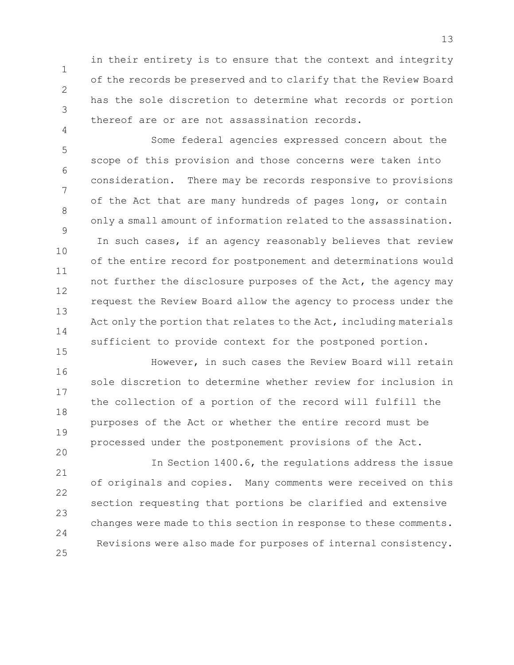in their entirety is to ensure that the context and integrity of the records be preserved and to clarify that the Review Board has the sole discretion to determine what records or portion thereof are or are not assassination records.

1

2

3

4

5 6 7 8 9 10 11 12 13 14 15 Some federal agencies expressed concern about the scope of this provision and those concerns were taken into consideration. There may be records responsive to provisions of the Act that are many hundreds of pages long, or contain only a small amount of information related to the assassination. In such cases, if an agency reasonably believes that review of the entire record for postponement and determinations would not further the disclosure purposes of the Act, the agency may request the Review Board allow the agency to process under the Act only the portion that relates to the Act, including materials sufficient to provide context for the postponed portion.

16 17 18 19 20 However, in such cases the Review Board will retain sole discretion to determine whether review for inclusion in the collection of a portion of the record will fulfill the purposes of the Act or whether the entire record must be processed under the postponement provisions of the Act.

21 22 23 24 25 In Section 1400.6, the regulations address the issue of originals and copies. Many comments were received on this section requesting that portions be clarified and extensive changes were made to this section in response to these comments. Revisions were also made for purposes of internal consistency.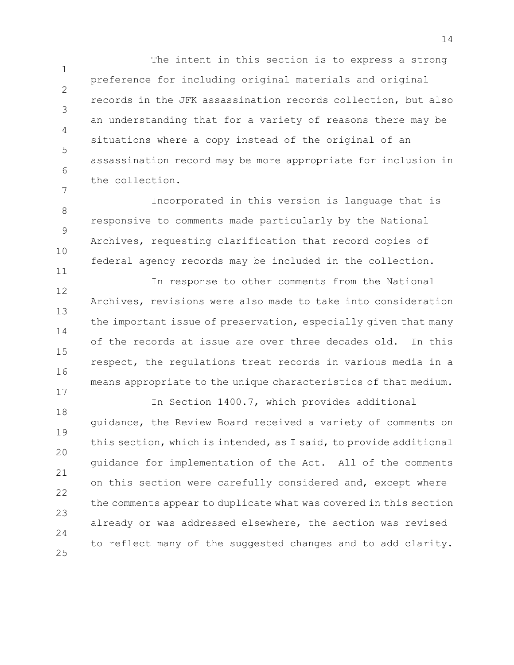1 2 3 4 5 6 7 The intent in this section is to express a strong preference for including original materials and original records in the JFK assassination records collection, but also an understanding that for a variety of reasons there may be situations where a copy instead of the original of an assassination record may be more appropriate for inclusion in the collection.

8 9 10 11 Incorporated in this version is language that is responsive to comments made particularly by the National Archives, requesting clarification that record copies of federal agency records may be included in the collection.

12 13 14 15 16 17 In response to other comments from the National Archives, revisions were also made to take into consideration the important issue of preservation, especially given that many of the records at issue are over three decades old. In this respect, the regulations treat records in various media in a means appropriate to the unique characteristics of that medium.

18 19 20 21 22 23  $24$ 25 In Section 1400.7, which provides additional guidance, the Review Board received a variety of comments on this section, which is intended, as I said, to provide additional guidance for implementation of the Act. All of the comments on this section were carefully considered and, except where the comments appear to duplicate what was covered in this section already or was addressed elsewhere, the section was revised to reflect many of the suggested changes and to add clarity.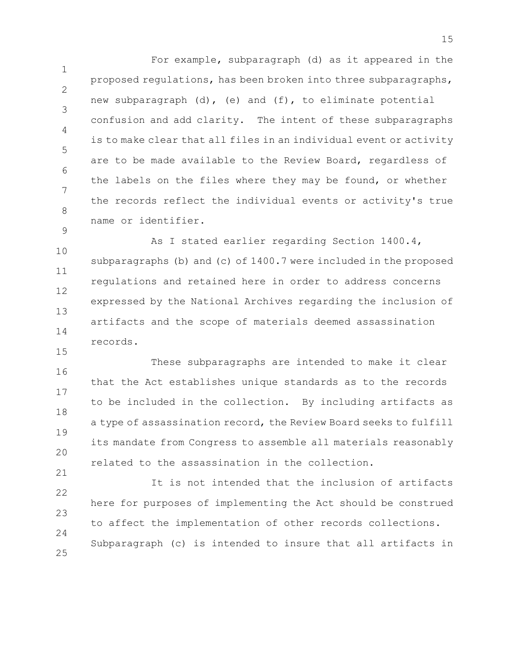1 2 3 4 5 6 7 8 9 For example, subparagraph (d) as it appeared in the proposed regulations, has been broken into three subparagraphs, new subparagraph  $(d)$ , (e) and  $(f)$ , to eliminate potential confusion and add clarity. The intent of these subparagraphs is to make clear that all files in an individual event or activity are to be made available to the Review Board, regardless of the labels on the files where they may be found, or whether the records reflect the individual events or activity's true name or identifier.

10 11 12 13 14 As I stated earlier regarding Section 1400.4, subparagraphs (b) and (c) of 1400.7 were included in the proposed regulations and retained here in order to address concerns expressed by the National Archives regarding the inclusion of artifacts and the scope of materials deemed assassination records.

16 17 18 19 20 21 These subparagraphs are intended to make it clear that the Act establishes unique standards as to the records to be included in the collection. By including artifacts as a type of assassination record, the Review Board seeks to fulfill its mandate from Congress to assemble all materials reasonably related to the assassination in the collection.

15

22 23 24 25 It is not intended that the inclusion of artifacts here for purposes of implementing the Act should be construed to affect the implementation of other records collections. Subparagraph (c) is intended to insure that all artifacts in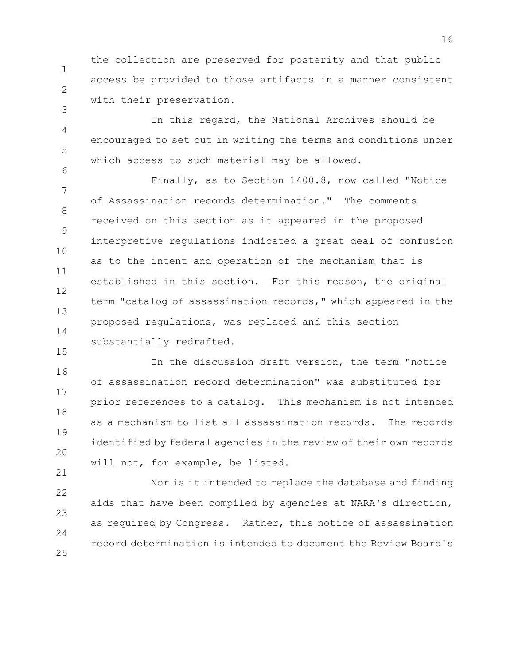1 2 the collection are preserved for posterity and that public access be provided to those artifacts in a manner consistent with their preservation.

3

15

4 5 6 In this regard, the National Archives should be encouraged to set out in writing the terms and conditions under which access to such material may be allowed.

7 8 9 10 11 12 13 14 Finally, as to Section 1400.8, now called "Notice of Assassination records determination." The comments received on this section as it appeared in the proposed interpretive regulations indicated a great deal of confusion as to the intent and operation of the mechanism that is established in this section. For this reason, the original term "catalog of assassination records," which appeared in the proposed regulations, was replaced and this section substantially redrafted.

16 17 18 19 20 21 In the discussion draft version, the term "notice of assassination record determination" was substituted for prior references to a catalog. This mechanism is not intended as a mechanism to list all assassination records. The records identified by federal agencies in the review of their own records will not, for example, be listed.

22 23  $24$ 25 Nor is it intended to replace the database and finding aids that have been compiled by agencies at NARA's direction, as required by Congress. Rather, this notice of assassination record determination is intended to document the Review Board's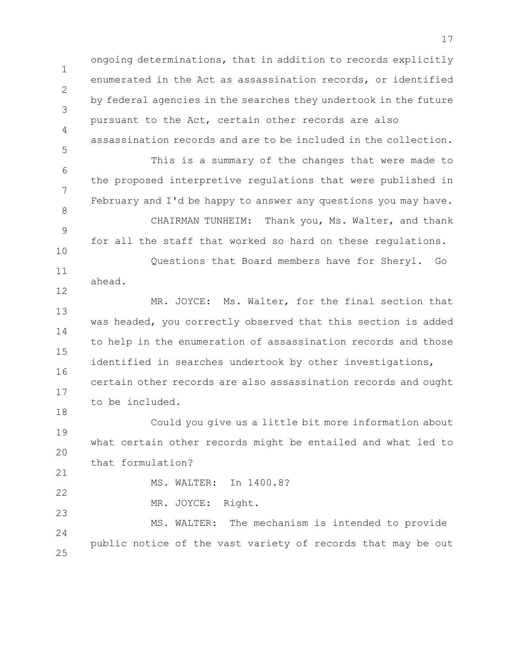1 2 3 4 5 6 7 8 9 ongoing determinations, that in addition to records explicitly enumerated in the Act as assassination records, or identified by federal agencies in the searches they undertook in the future pursuant to the Act, certain other records are also assassination records and are to be included in the collection. This is a summary of the changes that were made to the proposed interpretive regulations that were published in February and I'd be happy to answer any questions you may have. CHAIRMAN TUNHEIM: Thank you, Ms. Walter, and thank

10 11 for all the staff that worked so hard on these regulations. Questions that Board members have for Sheryl. Go

ahead.

12

18

21

22

23

13 14 15 16 17 MR. JOYCE: Ms. Walter, for the final section that was headed, you correctly observed that this section is added to help in the enumeration of assassination records and those identified in searches undertook by other investigations, certain other records are also assassination records and ought to be included.

19 20 Could you give us a little bit more information about what certain other records might be entailed and what led to that formulation?

MS. WALTER: In 1400.8?

MR. JOYCE: Right.

24 25 MS. WALTER: The mechanism is intended to provide public notice of the vast variety of records that may be out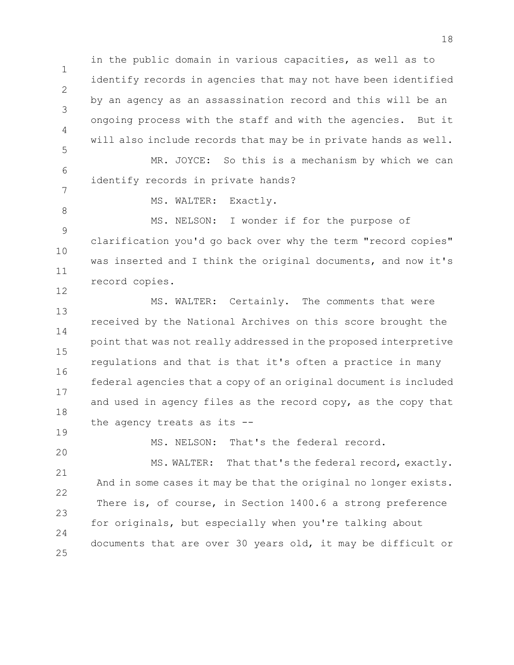2 3 5 in the public domain in various capacities, as well as to identify records in agencies that may not have been identified by an agency as an assassination record and this will be an ongoing process with the staff and with the agencies. But it will also include records that may be in private hands as well.

6 7 MR. JOYCE: So this is a mechanism by which we can identify records in private hands?

MS. WALTER: Exactly.

1

4

8

19

9 10 11 12 MS. NELSON: I wonder if for the purpose of clarification you'd go back over why the term "record copies" was inserted and I think the original documents, and now it's record copies.

13 14 15 16 17 18 MS. WALTER: Certainly. The comments that were received by the National Archives on this score brought the point that was not really addressed in the proposed interpretive regulations and that is that it's often a practice in many federal agencies that a copy of an original document is included and used in agency files as the record copy, as the copy that the agency treats as its --

20 MS. NELSON: That's the federal record.

21 22 23  $24$ 25 MS. WALTER: That that's the federal record, exactly. And in some cases it may be that the original no longer exists. There is, of course, in Section 1400.6 a strong preference for originals, but especially when you're talking about documents that are over 30 years old, it may be difficult or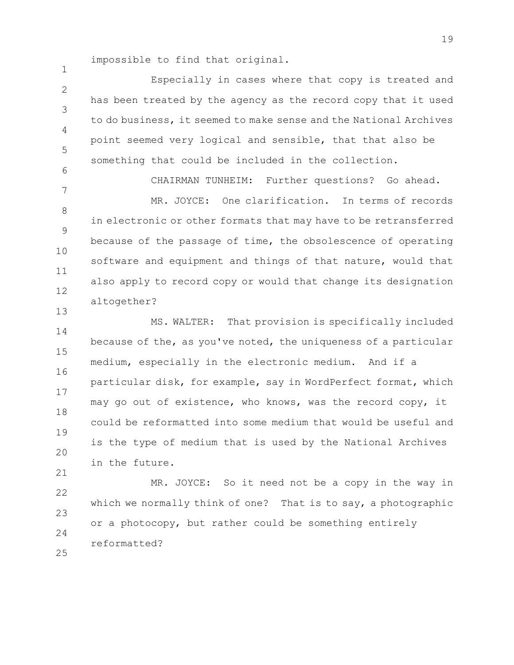impossible to find that original.

1

7

13

21

 $\mathfrak{D}$ 3 4 5 6 Especially in cases where that copy is treated and has been treated by the agency as the record copy that it used to do business, it seemed to make sense and the National Archives point seemed very logical and sensible, that that also be something that could be included in the collection.

CHAIRMAN TUNHEIM: Further questions? Go ahead.

8 9 10 11 12 MR. JOYCE: One clarification. In terms of records in electronic or other formats that may have to be retransferred because of the passage of time, the obsolescence of operating software and equipment and things of that nature, would that also apply to record copy or would that change its designation altogether?

14 15 16 17 18 19 20 MS. WALTER: That provision is specifically included because of the, as you've noted, the uniqueness of a particular medium, especially in the electronic medium. And if a particular disk, for example, say in WordPerfect format, which may go out of existence, who knows, was the record copy, it could be reformatted into some medium that would be useful and is the type of medium that is used by the National Archives in the future.

22 23 24 25 MR. JOYCE: So it need not be a copy in the way in which we normally think of one? That is to say, a photographic or a photocopy, but rather could be something entirely reformatted?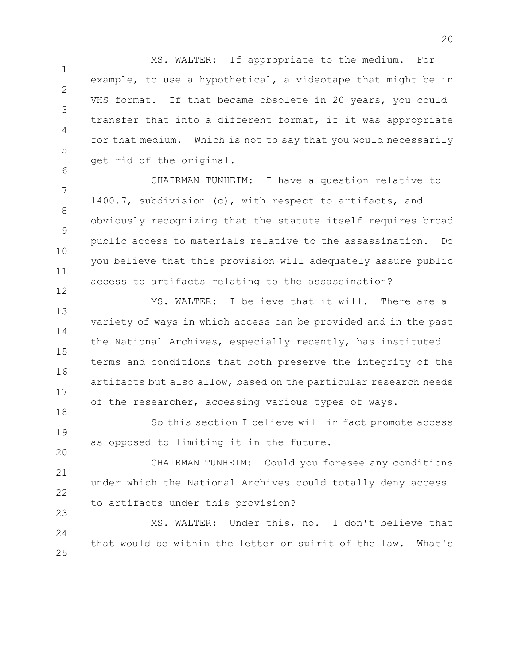1 2 3 4 5 MS. WALTER: If appropriate to the medium. For example, to use a hypothetical, a videotape that might be in VHS format. If that became obsolete in 20 years, you could transfer that into a different format, if it was appropriate for that medium. Which is not to say that you would necessarily get rid of the original.

7 8 9 10 11 12 CHAIRMAN TUNHEIM: I have a question relative to 1400.7, subdivision (c), with respect to artifacts, and obviously recognizing that the statute itself requires broad public access to materials relative to the assassination. Do you believe that this provision will adequately assure public access to artifacts relating to the assassination?

6

13 14 15 16 17 18 MS. WALTER: I believe that it will. There are a variety of ways in which access can be provided and in the past the National Archives, especially recently, has instituted terms and conditions that both preserve the integrity of the artifacts but also allow, based on the particular research needs of the researcher, accessing various types of ways.

19 20 So this section I believe will in fact promote access as opposed to limiting it in the future.

21 22 23 CHAIRMAN TUNHEIM: Could you foresee any conditions under which the National Archives could totally deny access to artifacts under this provision?

 $24$ 25 MS. WALTER: Under this, no. I don't believe that that would be within the letter or spirit of the law. What's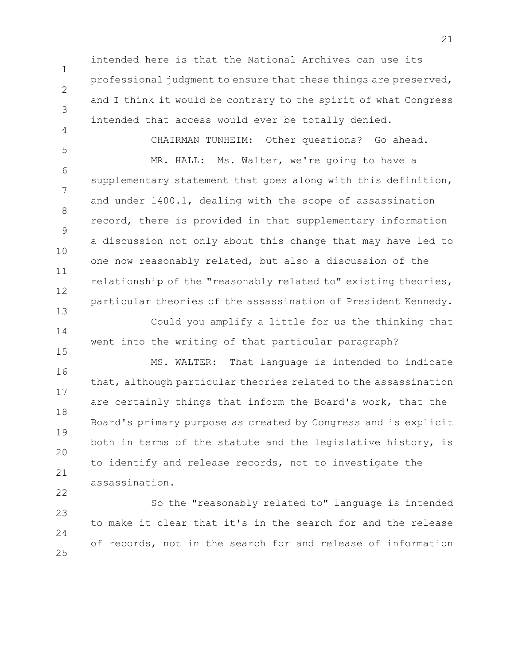intended here is that the National Archives can use its professional judgment to ensure that these things are preserved, and I think it would be contrary to the spirit of what Congress intended that access would ever be totally denied.

1

2

3

4

22

5 6 7 8 9 10 11 12 13 CHAIRMAN TUNHEIM: Other questions? Go ahead. MR. HALL: Ms. Walter, we're going to have a supplementary statement that goes along with this definition, and under 1400.1, dealing with the scope of assassination record, there is provided in that supplementary information a discussion not only about this change that may have led to one now reasonably related, but also a discussion of the relationship of the "reasonably related to" existing theories, particular theories of the assassination of President Kennedy. Could you amplify a little for us the thinking that

14 15 went into the writing of that particular paragraph?

16 17 18 19 20 21 MS. WALTER: That language is intended to indicate that, although particular theories related to the assassination are certainly things that inform the Board's work, that the Board's primary purpose as created by Congress and is explicit both in terms of the statute and the legislative history, is to identify and release records, not to investigate the assassination.

23  $24$ 25 So the "reasonably related to" language is intended to make it clear that it's in the search for and the release of records, not in the search for and release of information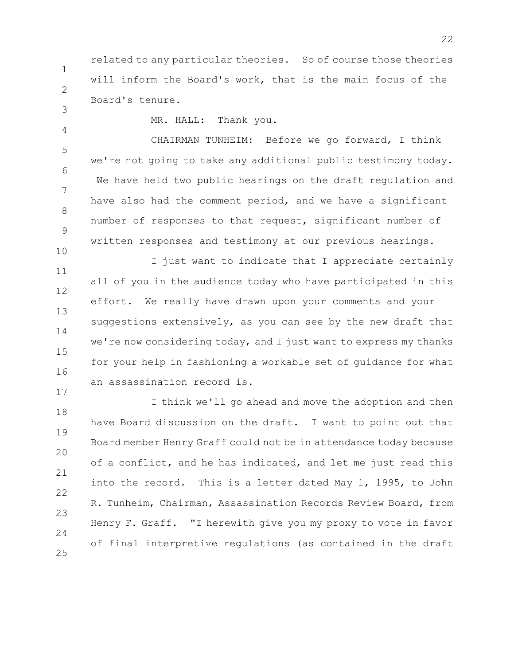1 2 related to any particular theories. So of course those theories will inform the Board's work, that is the main focus of the Board's tenure.

3 4

10

17

MR. HALL: Thank you.

5 6 7 8 9 CHAIRMAN TUNHEIM: Before we go forward, I think we're not going to take any additional public testimony today. We have held two public hearings on the draft regulation and have also had the comment period, and we have a significant number of responses to that request, significant number of written responses and testimony at our previous hearings.

11 12 13 14 15 16 I just want to indicate that I appreciate certainly all of you in the audience today who have participated in this effort. We really have drawn upon your comments and your suggestions extensively, as you can see by the new draft that we're now considering today, and I just want to express my thanks for your help in fashioning a workable set of guidance for what an assassination record is.

18 19 20 21 22 23  $24$ 25 I think we'll go ahead and move the adoption and then have Board discussion on the draft. I want to point out that Board member Henry Graff could not be in attendance today because of a conflict, and he has indicated, and let me just read this into the record. This is a letter dated May 1, 1995, to John R. Tunheim, Chairman, Assassination Records Review Board, from Henry F. Graff. "I herewith give you my proxy to vote in favor of final interpretive regulations (as contained in the draft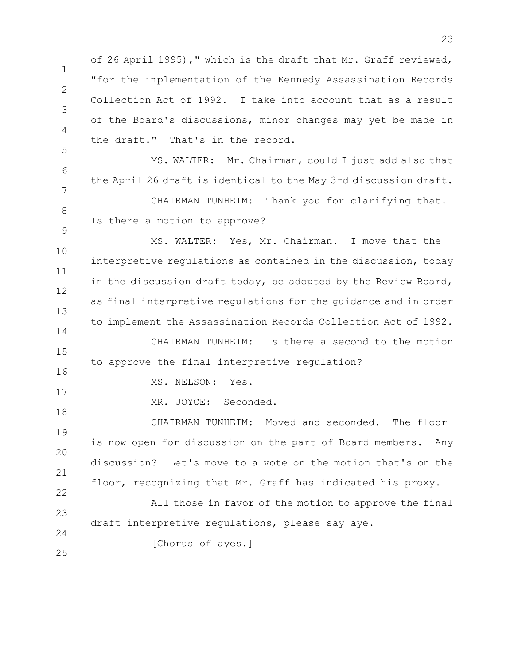of 26 April 1995)," which is the draft that Mr. Graff reviewed, "for the implementation of the Kennedy Assassination Records Collection Act of 1992. I take into account that as a result of the Board's discussions, minor changes may yet be made in the draft." That's in the record.

6 7 8 MS. WALTER: Mr. Chairman, could I just add also that the April 26 draft is identical to the May 3rd discussion draft. CHAIRMAN TUNHEIM: Thank you for clarifying that. Is there a motion to approve?

10 11 12 13 14 15 MS. WALTER: Yes, Mr. Chairman. I move that the interpretive regulations as contained in the discussion, today in the discussion draft today, be adopted by the Review Board, as final interpretive regulations for the guidance and in order to implement the Assassination Records Collection Act of 1992. CHAIRMAN TUNHEIM: Is there a second to the motion to approve the final interpretive regulation?

MS. NELSON: Yes.

MR. JOYCE: Seconded.

19 20 21 22 CHAIRMAN TUNHEIM: Moved and seconded. The floor is now open for discussion on the part of Board members. Any discussion? Let's move to a vote on the motion that's on the floor, recognizing that Mr. Graff has indicated his proxy.

23  $24$ All those in favor of the motion to approve the final draft interpretive regulations, please say aye.

[Chorus of ayes.]

25

1

2

3

4

5

9

16

17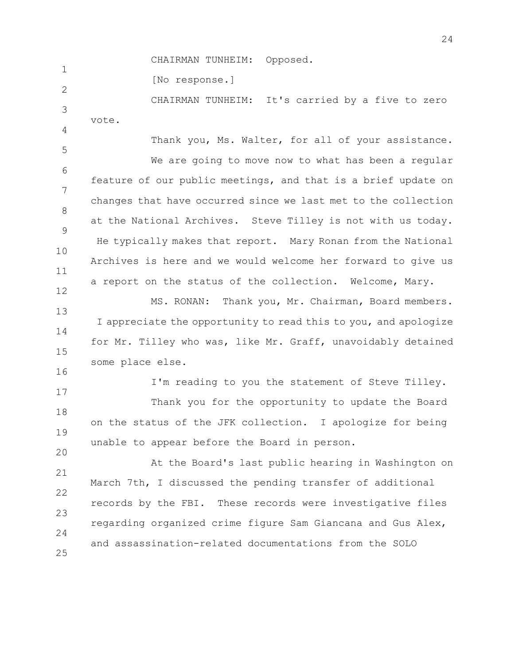CHAIRMAN TUNHEIM: Opposed.

 $\mathfrak{D}$ [No response.]

1

16

3 4 CHAIRMAN TUNHEIM: It's carried by a five to zero vote.

5 6 7 8 9 10 11 12 Thank you, Ms. Walter, for all of your assistance. We are going to move now to what has been a regular feature of our public meetings, and that is a brief update on changes that have occurred since we last met to the collection at the National Archives. Steve Tilley is not with us today. He typically makes that report. Mary Ronan from the National Archives is here and we would welcome her forward to give us a report on the status of the collection. Welcome, Mary.

13 14 15 MS. RONAN: Thank you, Mr. Chairman, Board members. I appreciate the opportunity to read this to you, and apologize for Mr. Tilley who was, like Mr. Graff, unavoidably detained some place else.

I'm reading to you the statement of Steve Tilley.

17 18 19 20 Thank you for the opportunity to update the Board on the status of the JFK collection. I apologize for being unable to appear before the Board in person.

21 22 23 24 25 At the Board's last public hearing in Washington on March 7th, I discussed the pending transfer of additional records by the FBI. These records were investigative files regarding organized crime figure Sam Giancana and Gus Alex, and assassination-related documentations from the SOLO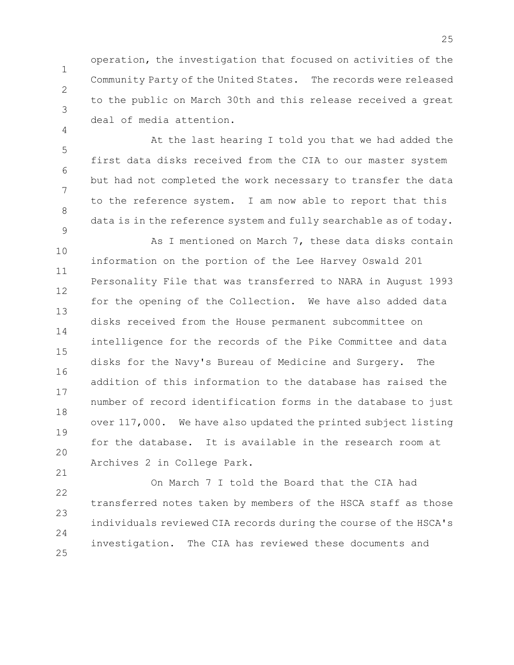operation, the investigation that focused on activities of the Community Party of the United States. The records were released to the public on March 30th and this release received a great deal of media attention.

1

2

3

4

21

5 6 7 8 9 At the last hearing I told you that we had added the first data disks received from the CIA to our master system but had not completed the work necessary to transfer the data to the reference system. I am now able to report that this data is in the reference system and fully searchable as of today.

10 11 12 13 14 15 16 17 18 19 20 As I mentioned on March 7, these data disks contain information on the portion of the Lee Harvey Oswald 201 Personality File that was transferred to NARA in August 1993 for the opening of the Collection. We have also added data disks received from the House permanent subcommittee on intelligence for the records of the Pike Committee and data disks for the Navy's Bureau of Medicine and Surgery. The addition of this information to the database has raised the number of record identification forms in the database to just over 117,000. We have also updated the printed subject listing for the database. It is available in the research room at Archives 2 in College Park.

22 23 24 25 On March 7 I told the Board that the CIA had transferred notes taken by members of the HSCA staff as those individuals reviewed CIA records during the course of the HSCA's investigation. The CIA has reviewed these documents and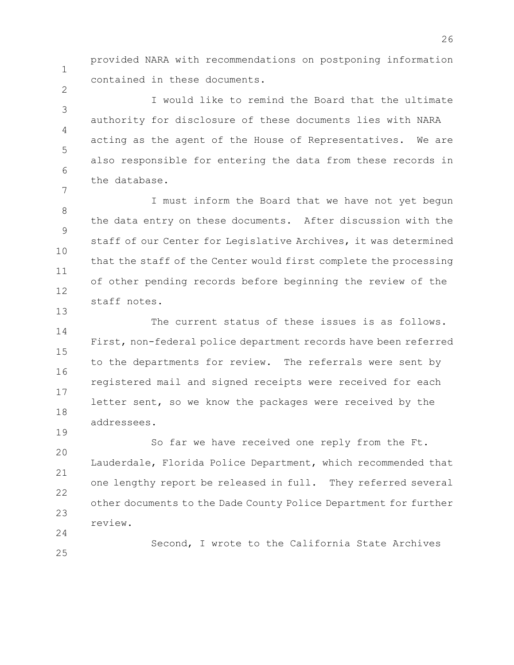provided NARA with recommendations on postponing information contained in these documents.

3 4 5 6 7 I would like to remind the Board that the ultimate authority for disclosure of these documents lies with NARA acting as the agent of the House of Representatives. We are also responsible for entering the data from these records in the database.

8 9 10 11 12 I must inform the Board that we have not yet begun the data entry on these documents. After discussion with the staff of our Center for Legislative Archives, it was determined that the staff of the Center would first complete the processing of other pending records before beginning the review of the staff notes.

14 15 16 17 18 The current status of these issues is as follows. First, non-federal police department records have been referred to the departments for review. The referrals were sent by registered mail and signed receipts were received for each letter sent, so we know the packages were received by the addressees.

20 21 22 23 24 So far we have received one reply from the Ft. Lauderdale, Florida Police Department, which recommended that one lengthy report be released in full. They referred several other documents to the Dade County Police Department for further review.

Second, I wrote to the California State Archives

25

1

2

13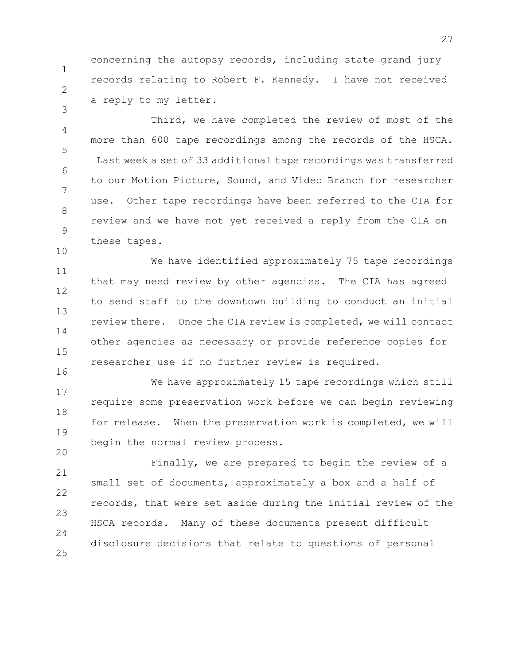concerning the autopsy records, including state grand jury records relating to Robert F. Kennedy. I have not received a reply to my letter.

1

2

3

10

16

20

4 5 6 7 8 9 Third, we have completed the review of most of the more than 600 tape recordings among the records of the HSCA. Last week a set of 33 additional tape recordings was transferred to our Motion Picture, Sound, and Video Branch for researcher use. Other tape recordings have been referred to the CIA for review and we have not yet received a reply from the CIA on these tapes.

11 12 13 14 15 We have identified approximately 75 tape recordings that may need review by other agencies. The CIA has agreed to send staff to the downtown building to conduct an initial review there. Once the CIA review is completed, we will contact other agencies as necessary or provide reference copies for researcher use if no further review is required.

17 18 19 We have approximately 15 tape recordings which still require some preservation work before we can begin reviewing for release. When the preservation work is completed, we will begin the normal review process.

21 22 23  $24$ 25 Finally, we are prepared to begin the review of a small set of documents, approximately a box and a half of records, that were set aside during the initial review of the HSCA records. Many of these documents present difficult disclosure decisions that relate to questions of personal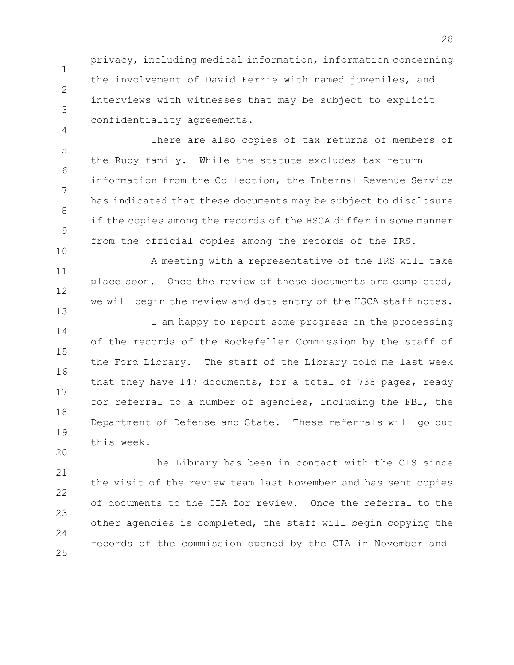privacy, including medical information, information concerning the involvement of David Ferrie with named juveniles, and interviews with witnesses that may be subject to explicit confidentiality agreements.

1

2

3

4

20

5 6 7 8 9 10 There are also copies of tax returns of members of the Ruby family. While the statute excludes tax return information from the Collection, the Internal Revenue Service has indicated that these documents may be subject to disclosure if the copies among the records of the HSCA differ in some manner from the official copies among the records of the IRS.

11 12 13 A meeting with a representative of the IRS will take place soon. Once the review of these documents are completed, we will begin the review and data entry of the HSCA staff notes.

14 15 16 17 18 19 I am happy to report some progress on the processing of the records of the Rockefeller Commission by the staff of the Ford Library. The staff of the Library told me last week that they have 147 documents, for a total of 738 pages, ready for referral to a number of agencies, including the FBI, the Department of Defense and State. These referrals will go out this week.

21 22 23  $24$ 25 The Library has been in contact with the CIS since the visit of the review team last November and has sent copies of documents to the CIA for review. Once the referral to the other agencies is completed, the staff will begin copying the records of the commission opened by the CIA in November and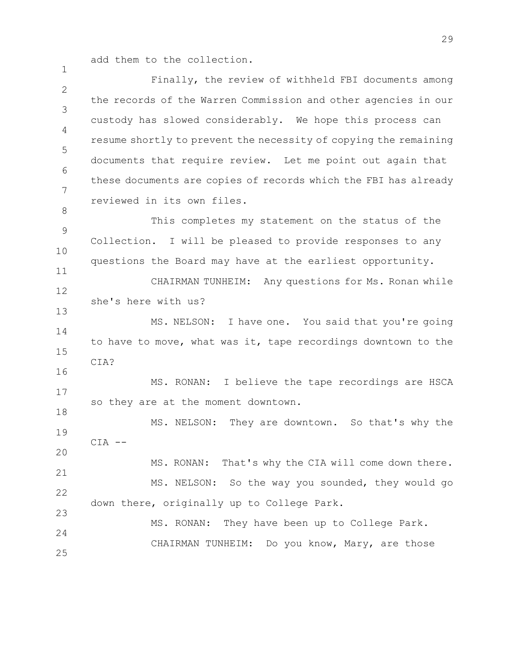add them to the collection.

1

8

11

16

18

 $\mathcal{P}$ 3 4 5 6 7 Finally, the review of withheld FBI documents among the records of the Warren Commission and other agencies in our custody has slowed considerably. We hope this process can resume shortly to prevent the necessity of copying the remaining documents that require review. Let me point out again that these documents are copies of records which the FBI has already reviewed in its own files.

9 10 This completes my statement on the status of the Collection. I will be pleased to provide responses to any questions the Board may have at the earliest opportunity.

12 13 CHAIRMAN TUNHEIM: Any questions for Ms. Ronan while she's here with us?

14 15 MS. NELSON: I have one. You said that you're going to have to move, what was it, tape recordings downtown to the CIA?

17 MS. RONAN: I believe the tape recordings are HSCA so they are at the moment downtown.

19 20 MS. NELSON: They are downtown. So that's why the  $CIA$   $--$ 

21 22 23 MS. RONAN: That's why the CIA will come down there. MS. NELSON: So the way you sounded, they would go down there, originally up to College Park.

 $24$ 25 MS. RONAN: They have been up to College Park. CHAIRMAN TUNHEIM: Do you know, Mary, are those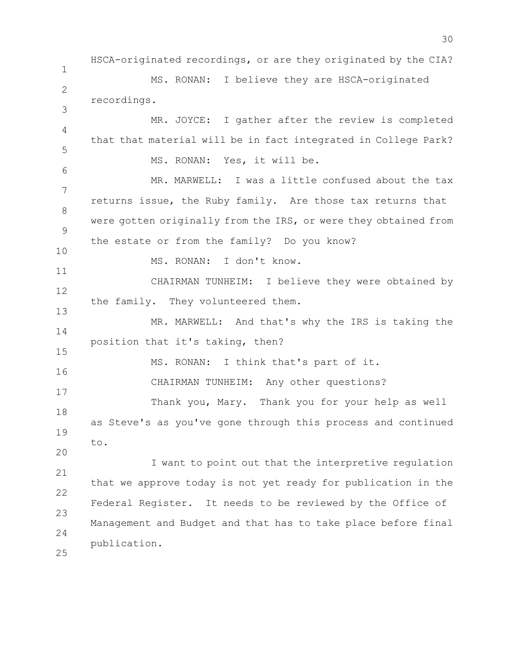1  $\mathcal{P}$ 3 4 5 6 7 8 9 10 11 12 13 14 15 16 17 18 19 20 21 22 23 24 25 HSCA-originated recordings, or are they originated by the CIA? MS. RONAN: I believe they are HSCA-originated recordings. MR. JOYCE: I gather after the review is completed that that material will be in fact integrated in College Park? MS. RONAN: Yes, it will be. MR. MARWELL: I was a little confused about the tax returns issue, the Ruby family. Are those tax returns that were gotten originally from the IRS, or were they obtained from the estate or from the family? Do you know? MS. RONAN: I don't know. CHAIRMAN TUNHEIM: I believe they were obtained by the family. They volunteered them. MR. MARWELL: And that's why the IRS is taking the position that it's taking, then? MS. RONAN: I think that's part of it. CHAIRMAN TUNHEIM: Any other questions? Thank you, Mary. Thank you for your help as well as Steve's as you've gone through this process and continued to. I want to point out that the interpretive regulation that we approve today is not yet ready for publication in the Federal Register. It needs to be reviewed by the Office of Management and Budget and that has to take place before final publication.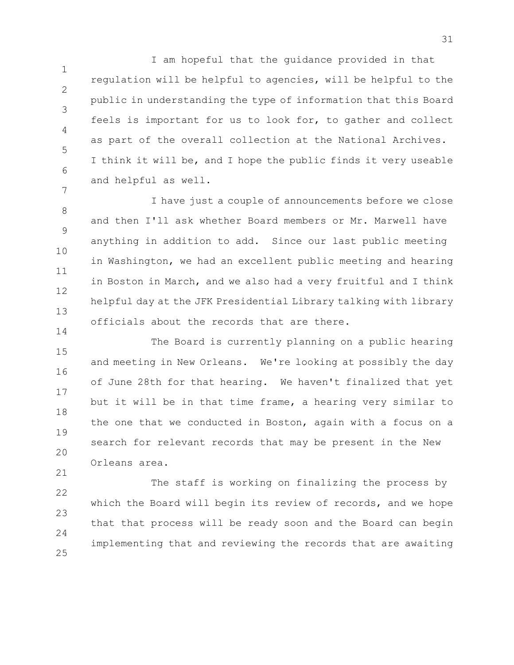1 2 3 4 5 6 7 I am hopeful that the guidance provided in that regulation will be helpful to agencies, will be helpful to the public in understanding the type of information that this Board feels is important for us to look for, to gather and collect as part of the overall collection at the National Archives. I think it will be, and I hope the public finds it very useable and helpful as well.

8 9 10 11 12 13 I have just a couple of announcements before we close and then I'll ask whether Board members or Mr. Marwell have anything in addition to add. Since our last public meeting in Washington, we had an excellent public meeting and hearing in Boston in March, and we also had a very fruitful and I think helpful day at the JFK Presidential Library talking with library officials about the records that are there.

15 16 17 18 19 20 The Board is currently planning on a public hearing and meeting in New Orleans. We're looking at possibly the day of June 28th for that hearing. We haven't finalized that yet but it will be in that time frame, a hearing very similar to the one that we conducted in Boston, again with a focus on a search for relevant records that may be present in the New Orleans area.

14

21

22 23 24 25 The staff is working on finalizing the process by which the Board will begin its review of records, and we hope that that process will be ready soon and the Board can begin implementing that and reviewing the records that are awaiting